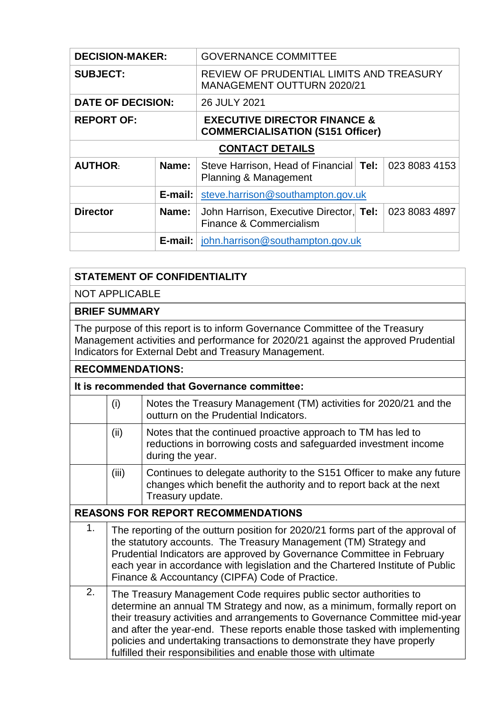| <b>DECISION-MAKER:</b>   |         | <b>GOVERNANCE COMMITTEE</b>                                                        |  |               |  |
|--------------------------|---------|------------------------------------------------------------------------------------|--|---------------|--|
| <b>SUBJECT:</b>          |         | REVIEW OF PRUDENTIAL LIMITS AND TREASURY<br><b>MANAGEMENT OUTTURN 2020/21</b>      |  |               |  |
| <b>DATE OF DECISION:</b> |         | 26 JULY 2021                                                                       |  |               |  |
| <b>REPORT OF:</b>        |         | <b>EXECUTIVE DIRECTOR FINANCE &amp;</b><br><b>COMMERCIALISATION (S151 Officer)</b> |  |               |  |
| <b>CONTACT DETAILS</b>   |         |                                                                                    |  |               |  |
| <b>AUTHOR:</b>           | Name:   | Steve Harrison, Head of Financial Tel:<br><b>Planning &amp; Management</b>         |  | 023 8083 4153 |  |
|                          | E-mail: | steve.harrison@southampton.gov.uk                                                  |  |               |  |
| <b>Director</b>          | Name:   | John Harrison, Executive Director, Tel:<br>Finance & Commercialism                 |  | 023 8083 4897 |  |
|                          |         | <b>E-mail:</b> $\vert$ john.harrison@southampton.gov.uk                            |  |               |  |

## **STATEMENT OF CONFIDENTIALITY**

NOT APPLICABLE

## **BRIEF SUMMARY**

The purpose of this report is to inform Governance Committee of the Treasury Management activities and performance for 2020/21 against the approved Prudential Indicators for External Debt and Treasury Management.

## **RECOMMENDATIONS:**

## **It is recommended that Governance committee:**

|                                           | (i)   | Notes the Treasury Management (TM) activities for 2020/21 and the<br>outturn on the Prudential Indicators.                                                                                                                                                                                                                                                                                                                                                  |  |  |  |
|-------------------------------------------|-------|-------------------------------------------------------------------------------------------------------------------------------------------------------------------------------------------------------------------------------------------------------------------------------------------------------------------------------------------------------------------------------------------------------------------------------------------------------------|--|--|--|
|                                           | (ii)  | Notes that the continued proactive approach to TM has led to<br>reductions in borrowing costs and safeguarded investment income<br>during the year.                                                                                                                                                                                                                                                                                                         |  |  |  |
|                                           | (iii) | Continues to delegate authority to the S151 Officer to make any future<br>changes which benefit the authority and to report back at the next<br>Treasury update.                                                                                                                                                                                                                                                                                            |  |  |  |
| <b>REASONS FOR REPORT RECOMMENDATIONS</b> |       |                                                                                                                                                                                                                                                                                                                                                                                                                                                             |  |  |  |
| 1.                                        |       | The reporting of the outturn position for 2020/21 forms part of the approval of<br>the statutory accounts. The Treasury Management (TM) Strategy and<br>Prudential Indicators are approved by Governance Committee in February<br>each year in accordance with legislation and the Chartered Institute of Public<br>Finance & Accountancy (CIPFA) Code of Practice.                                                                                         |  |  |  |
| 2.                                        |       | The Treasury Management Code requires public sector authorities to<br>determine an annual TM Strategy and now, as a minimum, formally report on<br>their treasury activities and arrangements to Governance Committee mid-year<br>and after the year-end. These reports enable those tasked with implementing<br>policies and undertaking transactions to demonstrate they have properly<br>fulfilled their responsibilities and enable those with ultimate |  |  |  |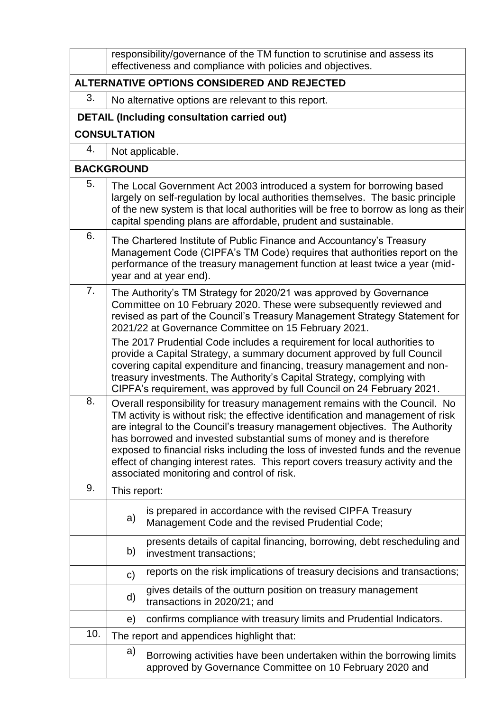|                                             |                                                                                                                                                                                                                                                                                                                                                                                                                                                                                                                                            | responsibility/governance of the TM function to scrutinise and assess its<br>effectiveness and compliance with policies and objectives.                                                                                                                                                                                                                                             |  |  |  |
|---------------------------------------------|--------------------------------------------------------------------------------------------------------------------------------------------------------------------------------------------------------------------------------------------------------------------------------------------------------------------------------------------------------------------------------------------------------------------------------------------------------------------------------------------------------------------------------------------|-------------------------------------------------------------------------------------------------------------------------------------------------------------------------------------------------------------------------------------------------------------------------------------------------------------------------------------------------------------------------------------|--|--|--|
| ALTERNATIVE OPTIONS CONSIDERED AND REJECTED |                                                                                                                                                                                                                                                                                                                                                                                                                                                                                                                                            |                                                                                                                                                                                                                                                                                                                                                                                     |  |  |  |
| 3.                                          |                                                                                                                                                                                                                                                                                                                                                                                                                                                                                                                                            | No alternative options are relevant to this report.                                                                                                                                                                                                                                                                                                                                 |  |  |  |
|                                             |                                                                                                                                                                                                                                                                                                                                                                                                                                                                                                                                            | <b>DETAIL (Including consultation carried out)</b>                                                                                                                                                                                                                                                                                                                                  |  |  |  |
|                                             | <b>CONSULTATION</b>                                                                                                                                                                                                                                                                                                                                                                                                                                                                                                                        |                                                                                                                                                                                                                                                                                                                                                                                     |  |  |  |
| 4.                                          |                                                                                                                                                                                                                                                                                                                                                                                                                                                                                                                                            | Not applicable.                                                                                                                                                                                                                                                                                                                                                                     |  |  |  |
|                                             | <b>BACKGROUND</b>                                                                                                                                                                                                                                                                                                                                                                                                                                                                                                                          |                                                                                                                                                                                                                                                                                                                                                                                     |  |  |  |
| 5.                                          | The Local Government Act 2003 introduced a system for borrowing based<br>largely on self-regulation by local authorities themselves. The basic principle<br>of the new system is that local authorities will be free to borrow as long as their<br>capital spending plans are affordable, prudent and sustainable.                                                                                                                                                                                                                         |                                                                                                                                                                                                                                                                                                                                                                                     |  |  |  |
| 6.                                          |                                                                                                                                                                                                                                                                                                                                                                                                                                                                                                                                            | The Chartered Institute of Public Finance and Accountancy's Treasury<br>Management Code (CIPFA's TM Code) requires that authorities report on the<br>performance of the treasury management function at least twice a year (mid-<br>year and at year end).                                                                                                                          |  |  |  |
| 7.                                          |                                                                                                                                                                                                                                                                                                                                                                                                                                                                                                                                            | The Authority's TM Strategy for 2020/21 was approved by Governance<br>Committee on 10 February 2020. These were subsequently reviewed and<br>revised as part of the Council's Treasury Management Strategy Statement for<br>2021/22 at Governance Committee on 15 February 2021.                                                                                                    |  |  |  |
|                                             |                                                                                                                                                                                                                                                                                                                                                                                                                                                                                                                                            | The 2017 Prudential Code includes a requirement for local authorities to<br>provide a Capital Strategy, a summary document approved by full Council<br>covering capital expenditure and financing, treasury management and non-<br>treasury investments. The Authority's Capital Strategy, complying with<br>CIPFA's requirement, was approved by full Council on 24 February 2021. |  |  |  |
| 8.                                          | Overall responsibility for treasury management remains with the Council. No<br>TM activity is without risk; the effective identification and management of risk<br>are integral to the Council's treasury management objectives. The Authority<br>has borrowed and invested substantial sums of money and is therefore<br>exposed to financial risks including the loss of invested funds and the revenue<br>effect of changing interest rates. This report covers treasury activity and the<br>associated monitoring and control of risk. |                                                                                                                                                                                                                                                                                                                                                                                     |  |  |  |
| 9.                                          | This report:                                                                                                                                                                                                                                                                                                                                                                                                                                                                                                                               |                                                                                                                                                                                                                                                                                                                                                                                     |  |  |  |
|                                             | a)                                                                                                                                                                                                                                                                                                                                                                                                                                                                                                                                         | is prepared in accordance with the revised CIPFA Treasury<br>Management Code and the revised Prudential Code;                                                                                                                                                                                                                                                                       |  |  |  |
|                                             | b)                                                                                                                                                                                                                                                                                                                                                                                                                                                                                                                                         | presents details of capital financing, borrowing, debt rescheduling and<br>investment transactions;                                                                                                                                                                                                                                                                                 |  |  |  |
|                                             | C)                                                                                                                                                                                                                                                                                                                                                                                                                                                                                                                                         | reports on the risk implications of treasury decisions and transactions;                                                                                                                                                                                                                                                                                                            |  |  |  |
|                                             | d)                                                                                                                                                                                                                                                                                                                                                                                                                                                                                                                                         | gives details of the outturn position on treasury management<br>transactions in 2020/21; and                                                                                                                                                                                                                                                                                        |  |  |  |
|                                             | e)                                                                                                                                                                                                                                                                                                                                                                                                                                                                                                                                         | confirms compliance with treasury limits and Prudential Indicators.                                                                                                                                                                                                                                                                                                                 |  |  |  |
| 10.                                         |                                                                                                                                                                                                                                                                                                                                                                                                                                                                                                                                            | The report and appendices highlight that:                                                                                                                                                                                                                                                                                                                                           |  |  |  |
|                                             | a)                                                                                                                                                                                                                                                                                                                                                                                                                                                                                                                                         | Borrowing activities have been undertaken within the borrowing limits<br>approved by Governance Committee on 10 February 2020 and                                                                                                                                                                                                                                                   |  |  |  |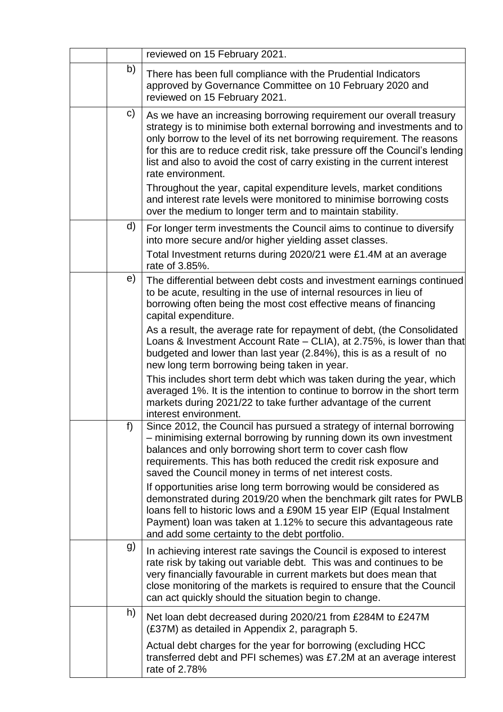|    | reviewed on 15 February 2021.                                                                                                                                                                                                                                                                                                                                                                                                                                                                                                                                                                                      |  |  |  |
|----|--------------------------------------------------------------------------------------------------------------------------------------------------------------------------------------------------------------------------------------------------------------------------------------------------------------------------------------------------------------------------------------------------------------------------------------------------------------------------------------------------------------------------------------------------------------------------------------------------------------------|--|--|--|
| b) | There has been full compliance with the Prudential Indicators<br>approved by Governance Committee on 10 February 2020 and<br>reviewed on 15 February 2021.                                                                                                                                                                                                                                                                                                                                                                                                                                                         |  |  |  |
| C) | As we have an increasing borrowing requirement our overall treasury<br>strategy is to minimise both external borrowing and investments and to<br>only borrow to the level of its net borrowing requirement. The reasons<br>for this are to reduce credit risk, take pressure off the Council's lending<br>list and also to avoid the cost of carry existing in the current interest<br>rate environment.<br>Throughout the year, capital expenditure levels, market conditions<br>and interest rate levels were monitored to minimise borrowing costs<br>over the medium to longer term and to maintain stability. |  |  |  |
| d) | For longer term investments the Council aims to continue to diversify<br>into more secure and/or higher yielding asset classes.<br>Total Investment returns during 2020/21 were £1.4M at an average<br>rate of 3.85%.                                                                                                                                                                                                                                                                                                                                                                                              |  |  |  |
| e) | The differential between debt costs and investment earnings continued<br>to be acute, resulting in the use of internal resources in lieu of<br>borrowing often being the most cost effective means of financing<br>capital expenditure.                                                                                                                                                                                                                                                                                                                                                                            |  |  |  |
|    | As a result, the average rate for repayment of debt, (the Consolidated<br>Loans & Investment Account Rate – CLIA), at 2.75%, is lower than that<br>budgeted and lower than last year (2.84%), this is as a result of no<br>new long term borrowing being taken in year.                                                                                                                                                                                                                                                                                                                                            |  |  |  |
|    | This includes short term debt which was taken during the year, which<br>averaged 1%. It is the intention to continue to borrow in the short term<br>markets during 2021/22 to take further advantage of the current<br>interest environment.                                                                                                                                                                                                                                                                                                                                                                       |  |  |  |
| f) | Since 2012, the Council has pursued a strategy of internal borrowing<br>- minimising external borrowing by running down its own investment<br>balances and only borrowing short term to cover cash flow<br>requirements. This has both reduced the credit risk exposure and<br>saved the Council money in terms of net interest costs.<br>If opportunities arise long term borrowing would be considered as<br>demonstrated during 2019/20 when the benchmark gilt rates for PWLB                                                                                                                                  |  |  |  |
|    | loans fell to historic lows and a £90M 15 year EIP (Equal Instalment<br>Payment) loan was taken at 1.12% to secure this advantageous rate<br>and add some certainty to the debt portfolio.                                                                                                                                                                                                                                                                                                                                                                                                                         |  |  |  |
| g) | In achieving interest rate savings the Council is exposed to interest<br>rate risk by taking out variable debt. This was and continues to be<br>very financially favourable in current markets but does mean that<br>close monitoring of the markets is required to ensure that the Council<br>can act quickly should the situation begin to change.                                                                                                                                                                                                                                                               |  |  |  |
| h) | Net loan debt decreased during 2020/21 from £284M to £247M<br>(£37M) as detailed in Appendix 2, paragraph 5.                                                                                                                                                                                                                                                                                                                                                                                                                                                                                                       |  |  |  |
|    | Actual debt charges for the year for borrowing (excluding HCC<br>transferred debt and PFI schemes) was £7.2M at an average interest<br>rate of 2.78%                                                                                                                                                                                                                                                                                                                                                                                                                                                               |  |  |  |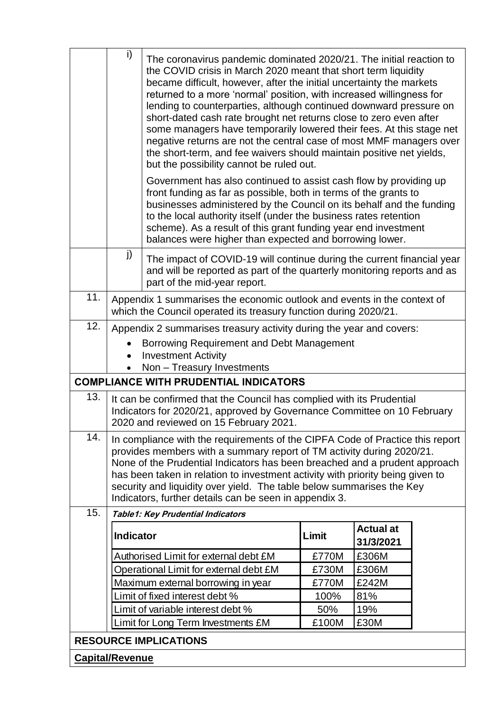|                                              | i)                                                                                                                                                                                                                                                                                                                                                                                                                                                        | The coronavirus pandemic dominated 2020/21. The initial reaction to<br>the COVID crisis in March 2020 meant that short term liquidity<br>became difficult, however, after the initial uncertainty the markets<br>returned to a more 'normal' position, with increased willingness for<br>lending to counterparties, although continued downward pressure on<br>short-dated cash rate brought net returns close to zero even after<br>some managers have temporarily lowered their fees. At this stage net<br>negative returns are not the central case of most MMF managers over<br>the short-term, and fee waivers should maintain positive net yields,<br>but the possibility cannot be ruled out. |       |                               |  |  |
|----------------------------------------------|-----------------------------------------------------------------------------------------------------------------------------------------------------------------------------------------------------------------------------------------------------------------------------------------------------------------------------------------------------------------------------------------------------------------------------------------------------------|------------------------------------------------------------------------------------------------------------------------------------------------------------------------------------------------------------------------------------------------------------------------------------------------------------------------------------------------------------------------------------------------------------------------------------------------------------------------------------------------------------------------------------------------------------------------------------------------------------------------------------------------------------------------------------------------------|-------|-------------------------------|--|--|
|                                              |                                                                                                                                                                                                                                                                                                                                                                                                                                                           | Government has also continued to assist cash flow by providing up<br>front funding as far as possible, both in terms of the grants to<br>businesses administered by the Council on its behalf and the funding<br>to the local authority itself (under the business rates retention<br>scheme). As a result of this grant funding year end investment<br>balances were higher than expected and borrowing lower.                                                                                                                                                                                                                                                                                      |       |                               |  |  |
|                                              | j)                                                                                                                                                                                                                                                                                                                                                                                                                                                        | The impact of COVID-19 will continue during the current financial year<br>and will be reported as part of the quarterly monitoring reports and as<br>part of the mid-year report.                                                                                                                                                                                                                                                                                                                                                                                                                                                                                                                    |       |                               |  |  |
| 11.                                          | Appendix 1 summarises the economic outlook and events in the context of<br>which the Council operated its treasury function during 2020/21.                                                                                                                                                                                                                                                                                                               |                                                                                                                                                                                                                                                                                                                                                                                                                                                                                                                                                                                                                                                                                                      |       |                               |  |  |
| 12.                                          | Appendix 2 summarises treasury activity during the year and covers:                                                                                                                                                                                                                                                                                                                                                                                       |                                                                                                                                                                                                                                                                                                                                                                                                                                                                                                                                                                                                                                                                                                      |       |                               |  |  |
|                                              |                                                                                                                                                                                                                                                                                                                                                                                                                                                           |                                                                                                                                                                                                                                                                                                                                                                                                                                                                                                                                                                                                                                                                                                      |       |                               |  |  |
|                                              | Borrowing Requirement and Debt Management<br><b>Investment Activity</b><br>٠                                                                                                                                                                                                                                                                                                                                                                              |                                                                                                                                                                                                                                                                                                                                                                                                                                                                                                                                                                                                                                                                                                      |       |                               |  |  |
|                                              | Non - Treasury Investments<br>$\bullet$                                                                                                                                                                                                                                                                                                                                                                                                                   |                                                                                                                                                                                                                                                                                                                                                                                                                                                                                                                                                                                                                                                                                                      |       |                               |  |  |
| <b>COMPLIANCE WITH PRUDENTIAL INDICATORS</b> |                                                                                                                                                                                                                                                                                                                                                                                                                                                           |                                                                                                                                                                                                                                                                                                                                                                                                                                                                                                                                                                                                                                                                                                      |       |                               |  |  |
| 13.                                          | It can be confirmed that the Council has complied with its Prudential<br>Indicators for 2020/21, approved by Governance Committee on 10 February<br>2020 and reviewed on 15 February 2021.                                                                                                                                                                                                                                                                |                                                                                                                                                                                                                                                                                                                                                                                                                                                                                                                                                                                                                                                                                                      |       |                               |  |  |
| 14.                                          | In compliance with the requirements of the CIPFA Code of Practice this report<br>provides members with a summary report of TM activity during 2020/21.<br>None of the Prudential Indicators has been breached and a prudent approach<br>has been taken in relation to investment activity with priority being given to<br>security and liquidity over yield. The table below summarises the Key<br>Indicators, further details can be seen in appendix 3. |                                                                                                                                                                                                                                                                                                                                                                                                                                                                                                                                                                                                                                                                                                      |       |                               |  |  |
| 15.                                          |                                                                                                                                                                                                                                                                                                                                                                                                                                                           | Table1: Key Prudential Indicators                                                                                                                                                                                                                                                                                                                                                                                                                                                                                                                                                                                                                                                                    |       |                               |  |  |
|                                              | <b>Indicator</b>                                                                                                                                                                                                                                                                                                                                                                                                                                          |                                                                                                                                                                                                                                                                                                                                                                                                                                                                                                                                                                                                                                                                                                      | Limit | <b>Actual at</b><br>31/3/2021 |  |  |
|                                              |                                                                                                                                                                                                                                                                                                                                                                                                                                                           | Authorised Limit for external debt £M                                                                                                                                                                                                                                                                                                                                                                                                                                                                                                                                                                                                                                                                | £770M | £306M                         |  |  |
|                                              |                                                                                                                                                                                                                                                                                                                                                                                                                                                           | Operational Limit for external debt £M                                                                                                                                                                                                                                                                                                                                                                                                                                                                                                                                                                                                                                                               | £730M | £306M                         |  |  |
|                                              |                                                                                                                                                                                                                                                                                                                                                                                                                                                           | Maximum external borrowing in year                                                                                                                                                                                                                                                                                                                                                                                                                                                                                                                                                                                                                                                                   | £770M | £242M                         |  |  |
|                                              |                                                                                                                                                                                                                                                                                                                                                                                                                                                           | Limit of fixed interest debt %                                                                                                                                                                                                                                                                                                                                                                                                                                                                                                                                                                                                                                                                       | 100%  | 81%                           |  |  |
|                                              |                                                                                                                                                                                                                                                                                                                                                                                                                                                           | Limit of variable interest debt %                                                                                                                                                                                                                                                                                                                                                                                                                                                                                                                                                                                                                                                                    | 50%   | 19%                           |  |  |
|                                              |                                                                                                                                                                                                                                                                                                                                                                                                                                                           | Limit for Long Term Investments £M                                                                                                                                                                                                                                                                                                                                                                                                                                                                                                                                                                                                                                                                   | £100M | £30M                          |  |  |
| <b>RESOURCE IMPLICATIONS</b>                 |                                                                                                                                                                                                                                                                                                                                                                                                                                                           |                                                                                                                                                                                                                                                                                                                                                                                                                                                                                                                                                                                                                                                                                                      |       |                               |  |  |
| <b>Capital/Revenue</b>                       |                                                                                                                                                                                                                                                                                                                                                                                                                                                           |                                                                                                                                                                                                                                                                                                                                                                                                                                                                                                                                                                                                                                                                                                      |       |                               |  |  |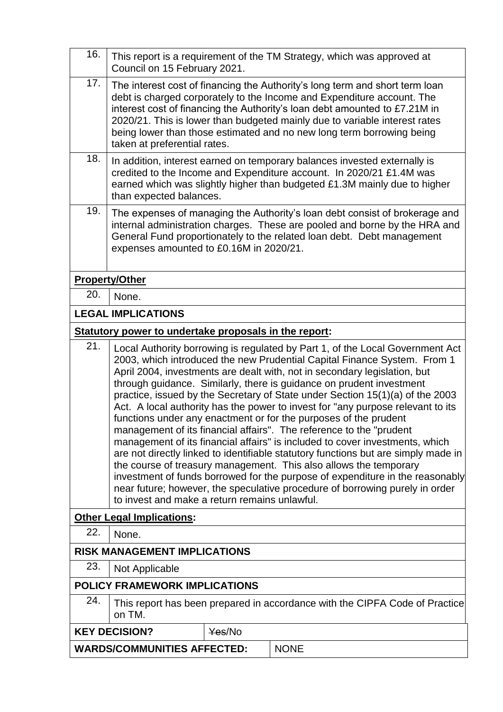| 16.                            | This report is a requirement of the TM Strategy, which was approved at<br>Council on 15 February 2021.                                                                                                                                                                                                                                                                                                                                                                                                                                                                                                                                                                                                                                                                                                                                                                                                                                                                                                                                                                                     |             |  |  |  |
|--------------------------------|--------------------------------------------------------------------------------------------------------------------------------------------------------------------------------------------------------------------------------------------------------------------------------------------------------------------------------------------------------------------------------------------------------------------------------------------------------------------------------------------------------------------------------------------------------------------------------------------------------------------------------------------------------------------------------------------------------------------------------------------------------------------------------------------------------------------------------------------------------------------------------------------------------------------------------------------------------------------------------------------------------------------------------------------------------------------------------------------|-------------|--|--|--|
| 17.<br>18.                     | The interest cost of financing the Authority's long term and short term loan<br>debt is charged corporately to the Income and Expenditure account. The<br>interest cost of financing the Authority's loan debt amounted to £7.21M in<br>2020/21. This is lower than budgeted mainly due to variable interest rates<br>being lower than those estimated and no new long term borrowing being<br>taken at preferential rates.                                                                                                                                                                                                                                                                                                                                                                                                                                                                                                                                                                                                                                                                |             |  |  |  |
|                                | In addition, interest earned on temporary balances invested externally is<br>credited to the Income and Expenditure account. In 2020/21 £1.4M was<br>earned which was slightly higher than budgeted £1.3M mainly due to higher<br>than expected balances.                                                                                                                                                                                                                                                                                                                                                                                                                                                                                                                                                                                                                                                                                                                                                                                                                                  |             |  |  |  |
| 19.                            | The expenses of managing the Authority's loan debt consist of brokerage and<br>internal administration charges. These are pooled and borne by the HRA and<br>General Fund proportionately to the related loan debt. Debt management<br>expenses amounted to £0.16M in 2020/21.                                                                                                                                                                                                                                                                                                                                                                                                                                                                                                                                                                                                                                                                                                                                                                                                             |             |  |  |  |
|                                | <b>Property/Other</b>                                                                                                                                                                                                                                                                                                                                                                                                                                                                                                                                                                                                                                                                                                                                                                                                                                                                                                                                                                                                                                                                      |             |  |  |  |
| 20.                            | None.                                                                                                                                                                                                                                                                                                                                                                                                                                                                                                                                                                                                                                                                                                                                                                                                                                                                                                                                                                                                                                                                                      |             |  |  |  |
|                                | <b>LEGAL IMPLICATIONS</b>                                                                                                                                                                                                                                                                                                                                                                                                                                                                                                                                                                                                                                                                                                                                                                                                                                                                                                                                                                                                                                                                  |             |  |  |  |
|                                | Statutory power to undertake proposals in the report:                                                                                                                                                                                                                                                                                                                                                                                                                                                                                                                                                                                                                                                                                                                                                                                                                                                                                                                                                                                                                                      |             |  |  |  |
| 21.                            | Local Authority borrowing is regulated by Part 1, of the Local Government Act<br>2003, which introduced the new Prudential Capital Finance System. From 1<br>April 2004, investments are dealt with, not in secondary legislation, but<br>through guidance. Similarly, there is guidance on prudent investment<br>practice, issued by the Secretary of State under Section 15(1)(a) of the 2003<br>Act. A local authority has the power to invest for "any purpose relevant to its<br>functions under any enactment or for the purposes of the prudent<br>management of its financial affairs". The reference to the "prudent<br>management of its financial affairs" is included to cover investments, which<br>are not directly linked to identifiable statutory functions but are simply made in<br>the course of treasury management. This also allows the temporary<br>investment of funds borrowed for the purpose of expenditure in the reasonably<br>near future; however, the speculative procedure of borrowing purely in order<br>to invest and make a return remains unlawful. |             |  |  |  |
|                                | <b>Other Legal Implications:</b>                                                                                                                                                                                                                                                                                                                                                                                                                                                                                                                                                                                                                                                                                                                                                                                                                                                                                                                                                                                                                                                           |             |  |  |  |
| 22.                            | None.                                                                                                                                                                                                                                                                                                                                                                                                                                                                                                                                                                                                                                                                                                                                                                                                                                                                                                                                                                                                                                                                                      |             |  |  |  |
| 23.                            | <b>RISK MANAGEMENT IMPLICATIONS</b>                                                                                                                                                                                                                                                                                                                                                                                                                                                                                                                                                                                                                                                                                                                                                                                                                                                                                                                                                                                                                                                        |             |  |  |  |
|                                | Not Applicable                                                                                                                                                                                                                                                                                                                                                                                                                                                                                                                                                                                                                                                                                                                                                                                                                                                                                                                                                                                                                                                                             |             |  |  |  |
| 24.                            | <b>POLICY FRAMEWORK IMPLICATIONS</b>                                                                                                                                                                                                                                                                                                                                                                                                                                                                                                                                                                                                                                                                                                                                                                                                                                                                                                                                                                                                                                                       |             |  |  |  |
|                                | This report has been prepared in accordance with the CIPFA Code of Practice<br>on TM.                                                                                                                                                                                                                                                                                                                                                                                                                                                                                                                                                                                                                                                                                                                                                                                                                                                                                                                                                                                                      |             |  |  |  |
| <b>KEY DECISION?</b><br>Yes/No |                                                                                                                                                                                                                                                                                                                                                                                                                                                                                                                                                                                                                                                                                                                                                                                                                                                                                                                                                                                                                                                                                            |             |  |  |  |
|                                | <b>WARDS/COMMUNITIES AFFECTED:</b>                                                                                                                                                                                                                                                                                                                                                                                                                                                                                                                                                                                                                                                                                                                                                                                                                                                                                                                                                                                                                                                         | <b>NONE</b> |  |  |  |